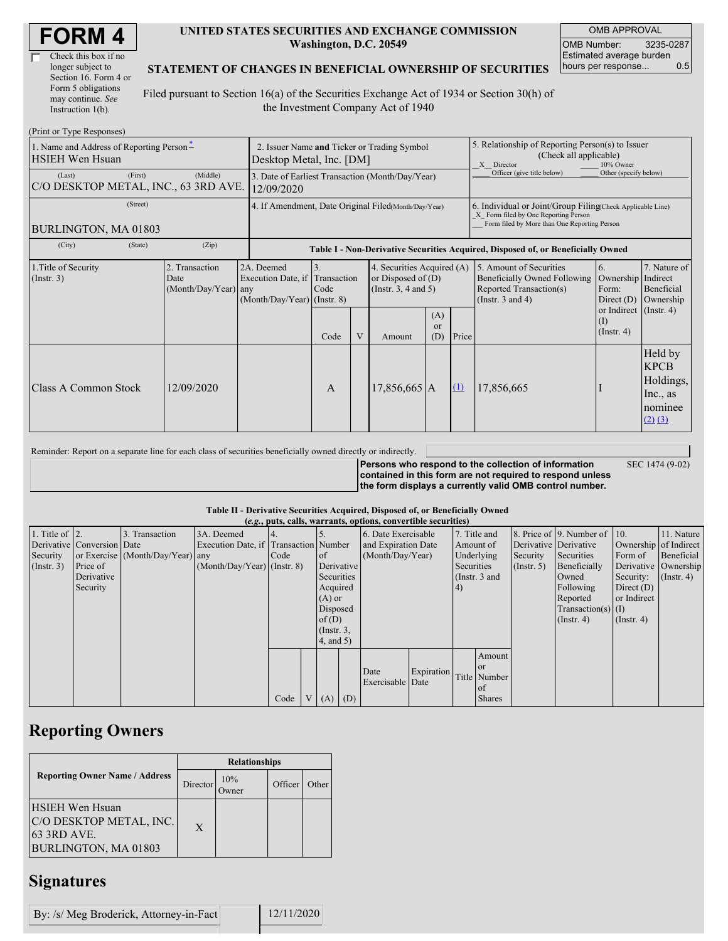| <b>FORM4</b> |
|--------------|
|--------------|

| Check this box if no  |
|-----------------------|
| longer subject to     |
| Section 16. Form 4 or |
| Form 5 obligations    |
| may continue. See     |
| Instruction $1(b)$ .  |

#### **UNITED STATES SECURITIES AND EXCHANGE COMMISSION Washington, D.C. 20549**

OMB APPROVAL OMB Number: 3235-0287 Estimated average burden hours per response... 0.5

SEC 1474 (9-02)

### **STATEMENT OF CHANGES IN BENEFICIAL OWNERSHIP OF SECURITIES**

Filed pursuant to Section 16(a) of the Securities Exchange Act of 1934 or Section 30(h) of the Investment Company Act of 1940

| (Print or Type Responses)                                          |                                                      |                                                                               |                                                                                  |                                             |                                                                                                                     |  |                                                                                                                                                    |                                                                                                             |                                                                                                                   |                                                                           |  |  |
|--------------------------------------------------------------------|------------------------------------------------------|-------------------------------------------------------------------------------|----------------------------------------------------------------------------------|---------------------------------------------|---------------------------------------------------------------------------------------------------------------------|--|----------------------------------------------------------------------------------------------------------------------------------------------------|-------------------------------------------------------------------------------------------------------------|-------------------------------------------------------------------------------------------------------------------|---------------------------------------------------------------------------|--|--|
| 1. Name and Address of Reporting Person-<br><b>HSIEH Wen Hsuan</b> | Desktop Metal, Inc. [DM]                             |                                                                               |                                                                                  | 2. Issuer Name and Ticker or Trading Symbol |                                                                                                                     |  | 5. Relationship of Reporting Person(s) to Issuer<br>(Check all applicable)<br>X Director<br>10% Owner                                              |                                                                                                             |                                                                                                                   |                                                                           |  |  |
| (First)<br>(Last)<br>C/O DESKTOP METAL, INC., 63 3RD AVE.          | (Middle)                                             | 3. Date of Earliest Transaction (Month/Day/Year)<br>12/09/2020                |                                                                                  |                                             |                                                                                                                     |  |                                                                                                                                                    | Officer (give title below)<br>Other (specify below)                                                         |                                                                                                                   |                                                                           |  |  |
| (Street)<br>BURLINGTON, MA 01803                                   | 4. If Amendment, Date Original Filed(Month/Day/Year) |                                                                               |                                                                                  |                                             |                                                                                                                     |  | 6. Individual or Joint/Group Filing(Check Applicable Line)<br>X Form filed by One Reporting Person<br>Form filed by More than One Reporting Person |                                                                                                             |                                                                                                                   |                                                                           |  |  |
| (City)<br>(State)                                                  | (Zip)                                                |                                                                               | Table I - Non-Derivative Securities Acquired, Disposed of, or Beneficially Owned |                                             |                                                                                                                     |  |                                                                                                                                                    |                                                                                                             |                                                                                                                   |                                                                           |  |  |
| 1. Title of Security<br>$($ Instr. 3 $)$                           | 2. Transaction<br>Date<br>(Month/Day/Year) any       | 2A. Deemed<br>Execution Date, if Transaction<br>$(Month/Day/Year)$ (Instr. 8) | 3.<br>Code<br>Code                                                               | V                                           | 4. Securities Acquired (A)<br>or Disposed of $(D)$<br>(Insert. 3, 4 and 5)<br>(A)<br><sub>or</sub><br>(D)<br>Amount |  | Price                                                                                                                                              | 5. Amount of Securities<br>Beneficially Owned Following<br>Reported Transaction(s)<br>(Instr. $3$ and $4$ ) | <sup>6.</sup><br>Ownership Indirect<br>Form:<br>Direct $(D)$<br>or Indirect (Instr. 4)<br>(1)<br>$($ Instr. 4 $)$ | 7. Nature of<br>Beneficial<br>Ownership                                   |  |  |
| Class A Common Stock                                               | 12/09/2020                                           |                                                                               | A                                                                                |                                             | $17,856,665$ A                                                                                                      |  | $\Omega$                                                                                                                                           | 17,856,665                                                                                                  |                                                                                                                   | Held by<br><b>KPCB</b><br>Holdings,<br>Inc., as<br>nominee<br>$(2)$ $(3)$ |  |  |

Reminder: Report on a separate line for each class of securities beneficially owned directly or indirectly. **Persons who respond to the collection of information contained in this form are not required to respond unless the form displays a currently valid OMB control number.**

### **Table II - Derivative Securities Acquired, Disposed of, or Beneficially Owned**

|                        | (e.g., puts, calls, warrants, options, convertible securities) |                                  |                                       |      |                |                 |                  |                     |            |                        |                 |                  |                              |                       |                      |
|------------------------|----------------------------------------------------------------|----------------------------------|---------------------------------------|------|----------------|-----------------|------------------|---------------------|------------|------------------------|-----------------|------------------|------------------------------|-----------------------|----------------------|
| 1. Title of $\vert$ 2. |                                                                | 3. Transaction                   | 3A. Deemed                            |      |                |                 |                  | 6. Date Exercisable |            |                        | 7. Title and    |                  | 8. Price of 9. Number of 10. |                       | 11. Nature           |
|                        | Derivative Conversion Date                                     |                                  | Execution Date, if Transaction Number |      |                |                 |                  | and Expiration Date |            | Amount of              |                 |                  | Derivative Derivative        | Ownership of Indirect |                      |
| Security               |                                                                | or Exercise (Month/Day/Year) any |                                       | Code |                | <b>l</b> of     |                  | (Month/Day/Year)    |            | Underlying<br>Security |                 | Securities       | Form of                      | Beneficial            |                      |
| (Insert. 3)            | Price of                                                       |                                  | $(Month/Day/Year)$ (Instr. 8)         |      |                | Derivative      |                  |                     |            | Securities             |                 | $($ Instr. 5 $)$ | Beneficially                 |                       | Derivative Ownership |
|                        | Derivative                                                     |                                  |                                       |      |                | Securities      |                  |                     |            |                        | (Instr. $3$ and |                  | Owned                        | Security:             | $($ Instr. 4 $)$     |
|                        | Security                                                       |                                  |                                       |      |                | Acquired        |                  |                     |            | (4)                    |                 |                  | Following                    | Direct $(D)$          |                      |
|                        |                                                                |                                  |                                       |      |                | $(A)$ or        |                  |                     |            |                        |                 |                  | Reported                     | or Indirect           |                      |
|                        |                                                                |                                  |                                       |      |                | Disposed        |                  |                     |            |                        |                 |                  | $Transaction(s)$ (I)         |                       |                      |
|                        |                                                                |                                  |                                       |      |                | of(D)           |                  |                     |            |                        |                 |                  | $($ Instr. 4 $)$             | $($ Instr. 4 $)$      |                      |
|                        |                                                                |                                  |                                       |      |                |                 | $($ Instr. $3$ , |                     |            |                        |                 |                  |                              |                       |                      |
|                        |                                                                |                                  |                                       |      |                | $4$ , and $5$ ) |                  |                     |            |                        |                 |                  |                              |                       |                      |
|                        |                                                                |                                  |                                       |      |                |                 |                  |                     |            |                        | Amount          |                  |                              |                       |                      |
|                        |                                                                |                                  |                                       |      |                |                 |                  |                     |            |                        | <b>or</b>       |                  |                              |                       |                      |
|                        |                                                                |                                  |                                       |      |                |                 |                  | Date                | Expiration |                        | Title Number    |                  |                              |                       |                      |
|                        |                                                                |                                  |                                       |      |                |                 |                  | Exercisable Date    |            |                        | of              |                  |                              |                       |                      |
|                        |                                                                |                                  |                                       | Code | V <sub>1</sub> | $(A)$ $(D)$     |                  |                     |            |                        | <b>Shares</b>   |                  |                              |                       |                      |

## **Reporting Owners**

|                                                                                          | <b>Relationships</b> |              |         |       |  |  |  |  |
|------------------------------------------------------------------------------------------|----------------------|--------------|---------|-------|--|--|--|--|
| <b>Reporting Owner Name / Address</b>                                                    | Director             | 10%<br>Owner | Officer | Other |  |  |  |  |
| <b>HSIEH Wen Hsuan</b><br>C/O DESKTOP METAL, INC.<br>63 3RD AVE.<br>BURLINGTON, MA 01803 | X                    |              |         |       |  |  |  |  |

# **Signatures**

By: /s/ Meg Broderick, Attorney-in-Fact 12/11/2020